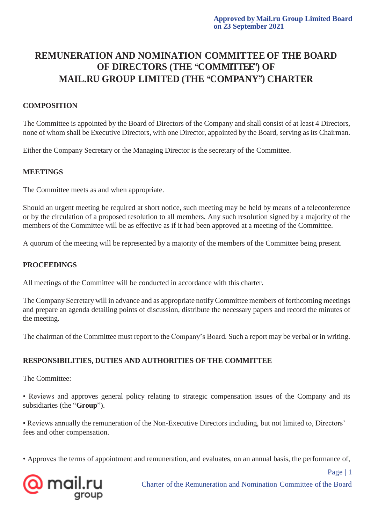# **REMUNERATION AND NOMINATION COMMITTEE OF THE BOARD OF DIRECTORS (THE "COMMITTEE") OF MAIL.RU GROUP LIMITED (THE "COMPANY") CHARTER**

## **COMPOSITION**

The Committee is appointed by the Board of Directors of the Company and shall consist of at least 4 Directors, none of whom shall be Executive Directors, with one Director, appointed by the Board, serving as its Chairman.

Either the Company Secretary or the Managing Director is the secretary of the Committee.

### **MEETINGS**

The Committee meets as and when appropriate.

Should an urgent meeting be required at short notice, such meeting may be held by means of a teleconference or by the circulation of a proposed resolution to all members. Any such resolution signed by a majority of the members of the Committee will be as effective as if it had been approved at a meeting of the Committee.

A quorum of the meeting will be represented by a majority of the members of the Committee being present.

### **PROCEEDINGS**

All meetings of the Committee will be conducted in accordance with this charter.

The Company Secretary will in advance and as appropriate notify Committee members of forthcoming meetings and prepare an agenda detailing points of discussion, distribute the necessary papers and record the minutes of the meeting.

The chairman of the Committee must report to the Company's Board. Such a report may be verbal or in writing.

### **RESPONSIBILITIES, DUTIES AND AUTHORITIES OF THE COMMITTEE**

The Committee:

• Reviews and approves general policy relating to strategic compensation issues of the Company and its subsidiaries (the "**Group**").

• Reviews annually the remuneration of the Non-Executive Directors including, but not limited to, Directors' fees and other compensation.

• Approves the terms of appointment and remuneration, and evaluates, on an annual basis, the performance of,



Page | 1